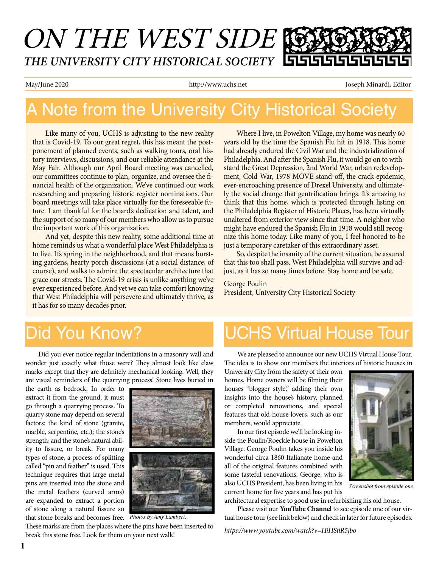# ON THE WEST SIDE *THE UNIVERSITY CITY HISTORICAL SOCIETY*

May/June 2020 **http://www.uchs.net** Joseph Minardi, Editor

# A Note from the University City Historical Society

Like many of you, UCHS is adjusting to the new reality that is Covid-19. To our great regret, this has meant the postponement of planned events, such as walking tours, oral history interviews, discussions, and our reliable attendance at the May Fair. Although our April Board meeting was cancelled, our committees continue to plan, organize, and oversee the financial health of the organization. We've continued our work researching and preparing historic register nominations. Our board meetings will take place virtually for the foreseeable future. I am thankful for the board's dedication and talent, and the support of so many of our members who allow us to pursue the important work of this organization.

And yet, despite this new reality, some additional time at home reminds us what a wonderful place West Philadelphia is to live. It's spring in the neighborhood, and that means bursting gardens, hearty porch discussions (at a social distance, of course), and walks to admire the spectacular architecture that grace our streets. The Covid-19 crisis is unlike anything we've ever experienced before. And yet we can take comfort knowing that West Philadelphia will persevere and ultimately thrive, as it has for so many decades prior.

Where I live, in Powelton Village, my home was nearly 60 years old by the time the Spanish Flu hit in 1918. This home had already endured the Civil War and the industrialization of Philadelphia. And after the Spanish Flu, it would go on to withstand the Great Depression, 2nd World War, urban redevelopment, Cold War, 1978 MOVE stand-off, the crack epidemic, ever-encroaching presence of Drexel University, and ultimately the social change that gentrification brings. It's amazing to think that this home, which is protected through listing on the Philadelphia Register of Historic Places, has been virtually unaltered from exterior view since that time. A neighbor who might have endured the Spanish Flu in 1918 would still recognize this home today. Like many of you, I feel honored to be just a temporary caretaker of this extraordinary asset.

So, despite the insanity of the current situation, be assured that this too shall pass. West Philadelphia will survive and adjust, as it has so many times before. Stay home and be safe.

#### George Poulin President, University City Historical Society

# Did You Know?

Did you ever notice regular indentations in a masonry wall and wonder just exactly what those were? They almost look like claw marks except that they are definitely mechanical looking. Well, they are visual reminders of the quarrying process! Stone lives buried in

the earth as bedrock. In order to extract it from the ground, it must go through a quarrying process. To quarry stone may depend on several factors: the kind of stone (granite, marble, serpentine, etc.); the stone's strength; and the stone's natural ability to fissure, or break. For many types of stone, a process of splitting called "pin and feather" is used. This technique requires that large metal pins are inserted into the stone and the metal feathers (curved arms) are expanded to extract a portion of stone along a natural fissure so that stone breaks and becomes free.



*Photos by Amy Lambert.*

These marks are from the places where the pins have been inserted to break this stone free. Look for them on your next walk!

# UCHS Virtual House Tour

We are pleased to announce our new UCHS Virtual House Tour. The idea is to show our members the interiors of historic houses in

University City from the safety of their own homes. Home owners will be filming their houses "blogger style," adding their own insights into the house's history, planned or completed renovations, and special features that old-house lovers, such as our members, would appreciate.

In our first episode we'll be looking inside the Poulin/Roeckle house in Powelton Village. George Poulin takes you inside his wonderful circa 1860 Italianate home and all of the original features combined with some tasteful renovations. George, who is also UCHS President, has been living in his current home for five years and has put his



Please visit our **YouTube Channel** to see episode one of our virtual house tour (see link below) and check in later for future episodes.

*https://www.youtube.com/watch?v=HiHStlR5jbo*

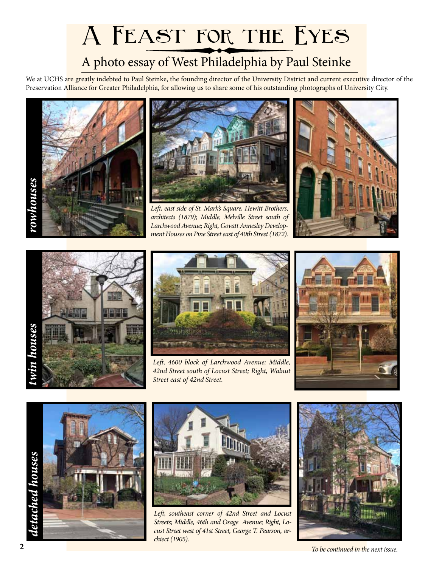# **A Feast for the Eyes**

### A photo essay of West Philadelphia by Paul Steinke

We at UCHS are greatly indebted to Paul Steinke, the founding director of the University District and current executive director of the Preservation Alliance for Greater Philadelphia, for allowing us to share some of his outstanding photographs of University City.





*Left, east side of St. Mark's Square, Hewitt Brothers, architects (1879); Middle, Melville Street south of Larchwood Avenue; Right, Govatt Annesley Development Houses on Pine Street east of 40th Street (1872).*







*Left, 4600 block of Larchwood Avenue; Middle, 42nd Street south of Locust Street; Right, Walnut Street east of 42nd Street.*







*Left, southeast corner of 42nd Street and Locust Streets; Middle, 46th and Osage Avenue; Right, Locust Street west of 41st Street, George T. Pearson, archiect (1905).*



*To be continued in the next issue.*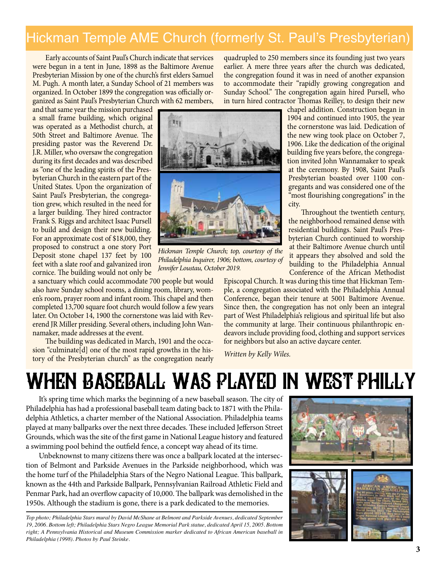#### Hickman Temple AME Church (formerly St. Paul's Presbyterian)

Early accounts of Saint Paul's Church indicate that services were begun in a tent in June, 1898 as the Baltimore Avenue Presbyterian Mission by one of the church's first elders Samuel M. Pugh. A month later, a Sunday School of 21 members was organized. In October 1899 the congregation was officially organized as Saint Paul's Presbyterian Church with 62 members,

and that same year the mission purchased a small frame building, which original was operated as a Methodist church, at 50th Street and Baltimore Avenue. The presiding pastor was the Reverend Dr. J.R. Miller, who oversaw the congregation during its first decades and was described as "one of the leading spirits of the Presbyterian Church in the eastern part of the United States. Upon the organization of Saint Paul's Presbyterian, the congregation grew, which resulted in the need for a larger building. They hired contractor Frank S. Riggs and architect Isaac Pursell to build and design their new building. For an approximate cost of \$18,000, they proposed to construct a one story Port Deposit stone chapel 137 feet by 100 feet with a slate roof and galvanized iron cornice. The building would not only be

a sanctuary which could accommodate 700 people but would also have Sunday school rooms, a dining room, library, women's room, prayer room and infant room. This chapel and then completed 13,700 square foot church would follow a few years later. On October 14, 1900 the cornerstone was laid with Reverend JR Miller presiding. Several others, including John Wannamaker, made addresses at the event.

The building was dedicated in March, 1901 and the occasion "culminate<sup>[d]</sup> one of the most rapid growths in the history of the Presbyterian church" as the congregation nearly quadrupled to 250 members since its founding just two years earlier. A mere three years after the church was dedicated, the congregation found it was in need of another expansion to accommodate their "rapidly growing congregation and Sunday School." The congregation again hired Pursell, who in turn hired contractor Thomas Reilley, to design their new



*Hickman Temple Church; top, courtesy of the Philadelphia Inquirer, 1906; bottom, courtesy of Jennifer Loustau, October 2019.*

chapel addition. Construction began in 1904 and continued into 1905, the year the cornerstone was laid. Dedication of the new wing took place on October 7, 1906. Like the dedication of the original building five years before, the congregation invited John Wannamaker to speak at the ceremony. By 1908, Saint Paul's Presbyterian boasted over 1100 congregants and was considered one of the "most flourishing congregations" in the city.

Throughout the twentieth century, the neighborhood remained dense with residential buildings. Saint Paul's Presbyterian Church continued to worship at their Baltimore Avenue church until it appears they absolved and sold the building to the Philadelphia Annual Conference of the African Methodist

Episcopal Church. It was during this time that Hickman Temple, a congregation associated with the Philadelphia Annual Conference, began their tenure at 5001 Baltimore Avenue. Since then, the congregation has not only been an integral part of West Philadelphia's religious and spiritual life but also the community at large. Their continuous philanthropic endeavors include providing food, clothing and support services for neighbors but also an active daycare center.

*Written by Kelly Wiles.*

# When Baseball Was Played in West Philly

It's spring time which marks the beginning of a new baseball season. The city of Philadelphia has had a professional baseball team dating back to 1871 with the Philadelphia Athletics, a charter member of the National Association. Philadelphia teams played at many ballparks over the next three decades. These included Jefferson Street Grounds, which was the site of the first game in National League history and featured a swimming pool behind the outfield fence, a concept way ahead of its time.

Unbeknownst to many citizens there was once a ballpark located at the intersection of Belmont and Parkside Avenues in the Parkside neighborhood, which was the home turf of the Philadelphia Stars of the Negro National League. This ballpark, known as the 44th and Parkside Ballpark, Pennsylvanian Railroad Athletic Field and Penmar Park, had an overflow capacity of 10,000. The ballpark was demolished in the 1950s. Although the stadium is gone, there is a park dedicated to the memories.

*Top photo; Philadelphia Stars mural by David McShane at Belmont and Parkside Avenues, dedicated September 19, 2006. Bottom left; Philadelphia Stars Negro League Memorial Park statue, dedicated April 15, 2005. Bottom right; A Pennsylvania Historical and Museum Commission marker dedicated to African American baseball in Philadelphia (1998). Photos by Paul Steinke.*